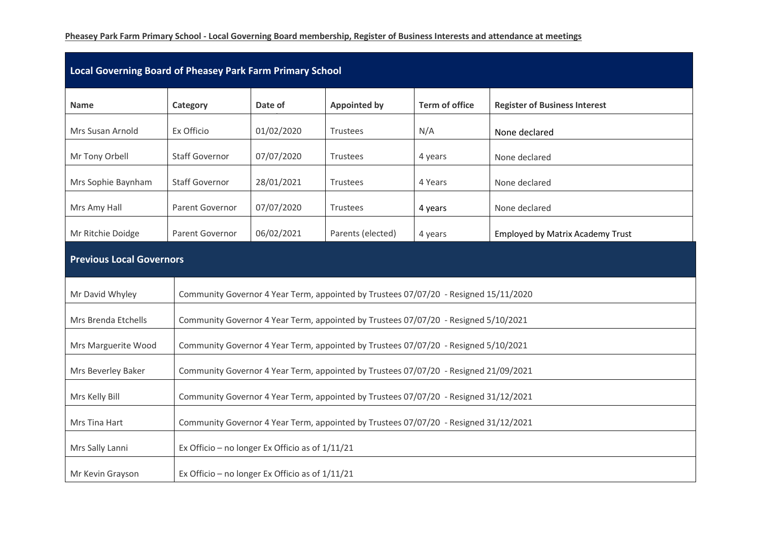## **Pheasey Park Farm Primary School - Local Governing Board membership, Register of Business Interests and attendance at meetings**

| Local Governing Board of Pheasey Park Farm Primary School |                       |                                                                                      |                     |                       |                                         |  |  |  |  |
|-----------------------------------------------------------|-----------------------|--------------------------------------------------------------------------------------|---------------------|-----------------------|-----------------------------------------|--|--|--|--|
| <b>Name</b>                                               | Category              | Date of                                                                              | <b>Appointed by</b> | <b>Term of office</b> | <b>Register of Business Interest</b>    |  |  |  |  |
| Mrs Susan Arnold                                          | Ex Officio            | 01/02/2020                                                                           | <b>Trustees</b>     | N/A                   | None declared                           |  |  |  |  |
| Mr Tony Orbell                                            | <b>Staff Governor</b> | 07/07/2020                                                                           | <b>Trustees</b>     | 4 years               | None declared                           |  |  |  |  |
| Mrs Sophie Baynham                                        | <b>Staff Governor</b> | 28/01/2021                                                                           | <b>Trustees</b>     | 4 Years               | None declared                           |  |  |  |  |
| Mrs Amy Hall                                              | Parent Governor       | 07/07/2020                                                                           | Trustees            | 4 years               | None declared                           |  |  |  |  |
| Mr Ritchie Doidge                                         | Parent Governor       | 06/02/2021                                                                           | Parents (elected)   | 4 years               | <b>Employed by Matrix Academy Trust</b> |  |  |  |  |
| <b>Previous Local Governors</b>                           |                       |                                                                                      |                     |                       |                                         |  |  |  |  |
| Mr David Whyley                                           |                       | Community Governor 4 Year Term, appointed by Trustees 07/07/20 - Resigned 15/11/2020 |                     |                       |                                         |  |  |  |  |
| Mrs Brenda Etchells                                       |                       | Community Governor 4 Year Term, appointed by Trustees 07/07/20 - Resigned 5/10/2021  |                     |                       |                                         |  |  |  |  |
| Mrs Marguerite Wood                                       |                       | Community Governor 4 Year Term, appointed by Trustees 07/07/20 - Resigned 5/10/2021  |                     |                       |                                         |  |  |  |  |
| Mrs Beverley Baker                                        |                       | Community Governor 4 Year Term, appointed by Trustees 07/07/20 - Resigned 21/09/2021 |                     |                       |                                         |  |  |  |  |
| Mrs Kelly Bill                                            |                       | Community Governor 4 Year Term, appointed by Trustees 07/07/20 - Resigned 31/12/2021 |                     |                       |                                         |  |  |  |  |
| Mrs Tina Hart                                             |                       | Community Governor 4 Year Term, appointed by Trustees 07/07/20 - Resigned 31/12/2021 |                     |                       |                                         |  |  |  |  |
| Mrs Sally Lanni                                           |                       | Ex Officio - no longer Ex Officio as of $1/11/21$                                    |                     |                       |                                         |  |  |  |  |
| Mr Kevin Grayson                                          |                       | Ex Officio - no longer Ex Officio as of $1/11/21$                                    |                     |                       |                                         |  |  |  |  |